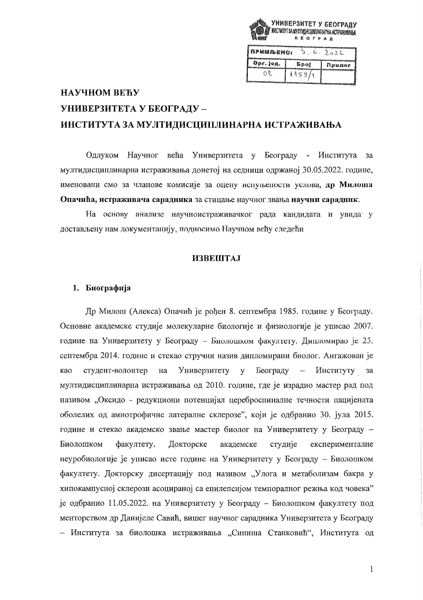

| і примљено: |        | 2ے 2   |
|-------------|--------|--------|
| Opr. jeg.   | Spol   | npuner |
| Δ9.         | 1159/1 |        |

# НАУЧНОМ ВЕЋУ УНИВЕРЗИТЕТА У БЕОГРАДУ -ИНСТИТУТА ЗА МУЛТИДИСЦИПЛИНАРНА ИСТРАЖИВАЊА

Научног већа Универзитета у Београду - Института Одлуком  $3a$ мултидисциплинарна истраживања донетој на седници одржаној 30.05.2022. године, именовани смо за чланове комисије за оцену испуњености услова, др Милоша Опачића, истраживача сарадника за стицање научног звања научни сарадник.

На основу анализе научноистраживачког рада кандидата и увида у достављену нам документацију, подносимо Научном веђу следећи

# **ИЗВЕШТАJ**

# 1. Биографија

Др Милош (Алекса) Опачић је рођен 8. септембра 1985. године у Београду. Основне академске студије молекуларне биологије и физиологије је уписао 2007. године на Универзитету у Београду - Биолошком факултету. Дипломирао је 25. септембра 2014. године и стекао стручни назив дипломирани биолог. Ангажован је Универзитету Београду као студент-волонтер  $_{\rm Ha}$  $\overline{\mathbf{v}}$ Институту за мултидисциплинарна истраживања од 2010. године, где је израдио мастер рад под називом "Оксидо - редукциони потенцијал цереброспиналне течности пацијената оболелих од амиотрофичне латералне склерозе", који је одбранио 30. јула 2015. године и стекао академско звање мастер биолог на Универзитету у Београду -Биолошком факултету. Докторске академске студије експерименталне неуробиологије је уписао исте године на Универзитету у Београду - Биолошком факултету. Докторску дисертацију под називом "Улога и метаболизам бакра у хипокампусној склерози асоцираној са епилепсијом темпоралног режња код човека" је одбранио 11.05.2022. на Универзитету у Београду - Биолошком факултету под менторством др Данијеле Савић, вишег научног сарадника Универзитета у Београду - Института за биолошка истраживања "Синиша Станковић", Института од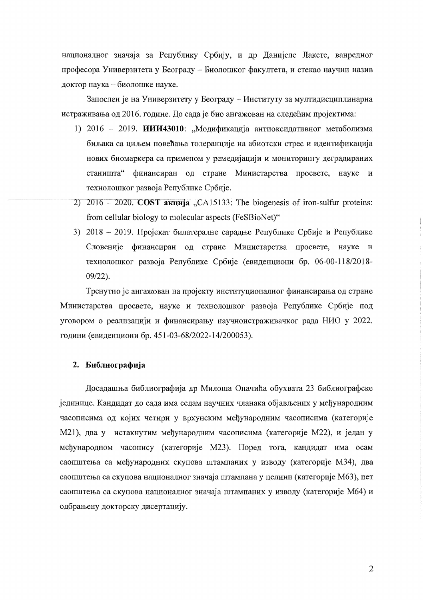националног значаја за Републику Србију, и др Данијеле Лакете, ванредног професора Универзитета у Београду – Биолошког факултета, и стекао научни назив доктор наука - биолошке науке.

Запослен је на Универзитету у Београду - Институту за мултидисциплинарна истраживања од 2016. године. До сада је био ангажован на следећим пројектима:

- 1) 2016 2019. ИИИ43010: "Модификација антиоксидативног метаболизма биљака са циљем повећања толеранције на абиотски стрес и идентификација нових биомаркера са применом у ремедијацији и мониторингу деградираних станишта" финансиран од стране Министарства просвете, науке и технолошког развоја Републике Србије.
- 2)  $2016 2020$ . COST  $\overline{a}$   $\overline{x}$   $\overline{a}$   $\overline{a}$   $\overline{a}$   $\overline{a}$   $\overline{a}$  and  $\overline{a}$  and  $\overline{a}$  and  $\overline{a}$  are biogenesis of iron-sulfur proteins: from cellular biology to molecular aspects (FeSBioNet)"
- 3) 2018 2019. Пројекат билатералне сарадње Републике Србије и Републике Словеније финансиран од стране Министарства просвете, науке и технолошког развоја Републике Србије (евиденциони бр. 06-00-118/2018- $09/22$ ).

Тренутно је ангажован на пројекту институционалног финансирања од стране Министарства просвете, науке и технолошког развоја Републике Србије под уговором о реализацији и финансирању научноистраживачког рада НИО у 2022. години (евиденциони бр. 451-03-68/2022-14/200053).

# 2. Библиографија

Досадашња библиографија др Милоша Опачића обухвата 23 библиографске јединице. Кандидат до сада има седам научних чланака објављених у међународним часописима од којих четири у врхунским међународним часописима (категорије М21), два у истакнутим међународним часописима (категорије М22), и један у међународном часопису (категорије М23). Поред тога, кандидат има осам саопштења са међународних скупова штампаних у изводу (категорије МЗ4), два саопштења са скупова националног значаја штампана у целини (категорије М63), пет саопштења са скупова националног значаја штампаних у изводу (категорије М64) и одбрањену докторску дисертацију.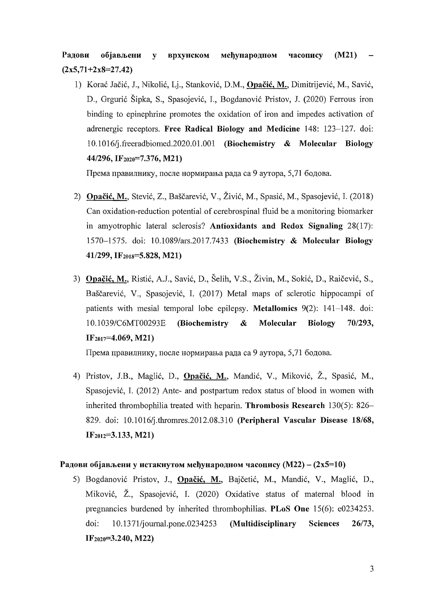Радови  $(M21)$ објављени међународном  $\mathbf{v}$ врхунском часопису  $(2x5,71+2x8=27.42)$ 

1) Korać Jačić, J., Nikolić, Lj., Stanković, D.M., Opačić, M., Dimitrijević, M., Savić, D., Grgurić Šipka, S., Spasojević, I., Bogdanović Pristov, J. (2020) Ferrous iron binding to epinephrine promotes the oxidation of iron and impedes activation of adrenergic receptors. Free Radical Biology and Medicine 148: 123-127. doi: 10.1016/j.freeradbiomed.2020.01.001 (Biochemistry & Molecular Biology 44/296, IF<sub>2020</sub>=7.376, M21)

Према правилнику, после нормирања рада са 9 аутора, 5,71 бодова.

- 2) Opačić, M., Stević, Z., Baščarević, V., Živić, M., Spasić, M., Spasojević, I. (2018) Can oxidation-reduction potential of cerebrospinal fluid be a monitoring biomarker in amyotrophic lateral sclerosis? Antioxidants and Redox Signaling 28(17): 1570-1575. doi: 10.1089/ars.2017.7433 (Biochemistry & Molecular Biology 41/299, IF<sub>2018</sub>=5.828, M21)
- 3) Opačić, M., Ristić, A.J., Savić, D., Šelih, V.S., Živin, M., Sokić, D., Raičević, S., Baščarević, V., Spasojević, I. (2017) Metal maps of sclerotic hippocampi of patients with mesial temporal lobe epilepsy. Metallomics  $9(2)$ : 141–148. doi: 10.1039/C6MT00293E (Biochemistry  $\boldsymbol{\alpha}$ Molecular **Biology** 70/293,  $IF<sub>2017</sub>=4.069, M21$

Према правилнику, после нормирања рада са 9 аутора, 5,71 бодова.

4) Pristov, J.B., Maglić, D., Opačić, M., Mandić, V., Miković, Ž., Spasić, M., Spasojević, I. (2012) Ante- and postpartum redox status of blood in women with inherited thrombophilia treated with heparin. Thrombosis Research 130(5): 826– 829. doi: 10.1016/j.thromres.2012.08.310 (Peripheral Vascular Disease 18/68,  $IF<sub>2012</sub>=3.133, M21)$ 

# Радови објављени у истакнутом међународном часопису (М22) –  $(2x5=10)$

5) Bogdanović Pristov, J., Opačić, M., Bajčetić, M., Mandić, V., Maglić, D., Miković, Ž., Spasojević, I. (2020) Oxidative status of maternal blood in pregnancies burdened by inherited thrombophilias. PLoS One  $15(6)$ : e0234253. doi: 10.1371/journal.pone.0234253 (Multidisciplinary 26/73, **Sciences**  $IF<sub>2020</sub>=3.240, M22$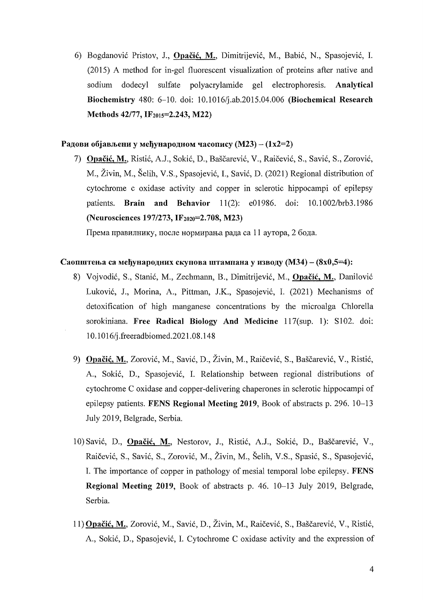6) Bogdanovic Pristov, 1, Opacic, M., Dimitrijevic, M., Babic, N., Spasojevic, I. (2015) A method for in-gel fluorescent visualization of proteins after native and sodium dodecyI sulfate polyacrylamide gel electrophoresis. Analytical Biochemistry 480: 6-10. doi: 10.1016/j.ab.2015.04.006 (Biochemical Research Methods 42/77, IF<sub>2015</sub>=2.243, M22)

# Радови објављени у међународном часопису (М23) –  $(1x2=2)$

7) Opacic, M., Ristic, A.J., Sokic, D., Bascarevic, V., Raicevic, S., Savic, S., Zorovic, M., Zivin, M., Selih, V.S., Spasojevic, I., Savic, D. (2021) Regional distribution of cytochrome c oxidase activity and copper in sclerotic hippocampi of epilepsy patients. **Brain and Behavior** 11(2): e01986. doi: 10.1002/brb3.1986 (Neurosciences 197/273, IF2020=2.708, M23)

Према правилнику, после нормирања рада са 11 аутора, 2 бода.

#### Саопштења са међународних скупова штампана у изводу (М34) –  $(8x0,5=4)$ :

- 8) Vojvodić, S., Stanić, M., Zechmann, B., Dimitrijević, M., Opačić, M., Danilović Lukovic, J., Morina, A., Pittman, lK., Spasojevic, I. (2021) Mechanisms of detoxification of high manganese concentrations by the microalga Chlorella sorokiniana. Free Radical Biology And Medicine 117(sup. 1): S102. doi: 1 0.1016/j .freeradbiomed.2021.08.148
- 9) Opačić, M., Zorović, M., Savić, D., Živin, M., Raičević, S., Baščarević, V., Ristić, A., Sokic, D., Spasojevic, I. Relationship between regional distributions of cytochrome C oxidase and copper-delivering chaperones in sclerotic hippocampi of epilepsy patients. FENS Regional Meeting 2019, Book of abstracts p. 296. 10-13 July 2019, Belgrade, Serbia.
- 10) Savić, D., Opačić, M., Nestorov, J., Ristić, A.J., Sokić, D., Baščarević, V., Raicevic, S., Savic, S., Zorovic, M., Zivin, M., Selih, V.S., Spasic, S., Spasojevic, I. The importance of copper in pathology of mesial temporal lobe epilepsy. FENS Regional Meeting 2019, Book of abstracts p. 46.10-13 July 2019, Belgrade, Serbia.
- 11) Opacic, M., Zorovic, M., Savic, D., Zivin, M., Raicevic, S., Bascarevic, V., Ristic, A., Sokic, D., Spasojevic, I. Cytochrome C oxidase activity and the expression of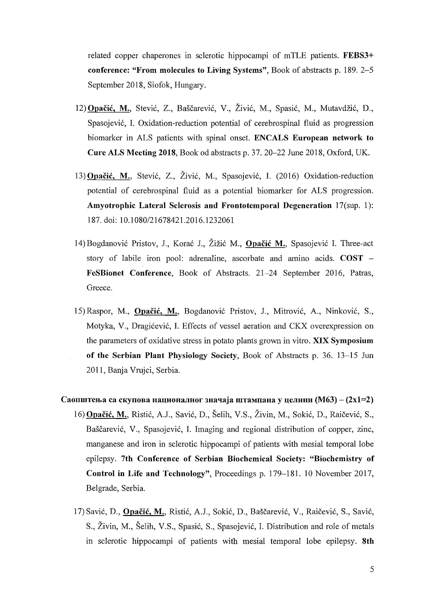related copper chaperones in sclerotic hippocampi of mTLE patients. FEBS3+ conference: "From molecules to Living Systems", Book of abstracts p. 189. 2-5 September 2018, Siofok, Hungary.

- 12) Opačić, M., Stević, Z., Baščarević, V., Živić, M., Spasić, M., Mutavdžić, D., Spasojević, I. Oxidation-reduction potential of cerebrospinal fluid as progression biomarker in ALS patients with spinal onset. ENCALS European network to Cure ALS Meeting 2018, Book od abstracts p. 37. 20-22 June 2018, Oxford, UK.
- 13)Opacic, M., Stevi6, Z., Zivi6, M., Spasojevi6, I. (2016) Oxidation-reduction potential of cerebrospinal fluid as a potential biomarker for ALS progression. Amyotrophic Lateral Sclerosis and Frontotemporal Degeneration 17(sup. 1): 187. doi: 10.1 080/21678421.2016.1232061
- 14) Bogdanović Pristov, J., Korać J., Žižić M., Opačić M., Spasojević I. Three-act story of labile iron pool: adrenaline, ascorbate and amino acids.  $\text{COST}$  -FeSBionet Conference, Book of Abstracts. 21-24 September 2016, Patras, Greece.
- 15) Raspor, M., **Opačić, M.**, Bogdanović Pristov, J., Mitrović, A., Ninković, S., Motyka, V., Dragićević, I. Effects of vessel aeration and CKX overexpression on the parameters of oxidative stress in potato plants grown in vitro. XIX Symposium of the Serbian Plant Physiology Society, Book of Abstracts p. 36. 13-15 Jun 2011, Banja Vrujci, Serbia.
- Саопштења са скупова националног значаја штампана у целини (М63) (2x1=2) 16) Opacic, M., Risti6, A.J., Savi6, D., Selih, V.S., Zivin, M., Sokie, D., Raicevi6, S., Baščarević, V., Spasojević, I. Imaging and regional distribution of copper, zinc, manganese and iron in sclerotic hippocampi of patients with mesial temporal lobe epilepsy. 7th Conference of Serbian Biochemical Society: "Biochemistry of Control in Life and Technology", Proceedings p. 179-181. 10 November 2017, Belgrade, Serbia.
	- 17) Savić, D., Opačić, M., Ristić, A.J., Sokić, D., Baščarević, V., Raičević, S., Savić, S., Živin, M., Šelih, V.S., Spasić, S., Spasojević, I. Distribution and role of metals in sclerotic hippocampi of patients with mesial temporal lobe epilepsy. 8th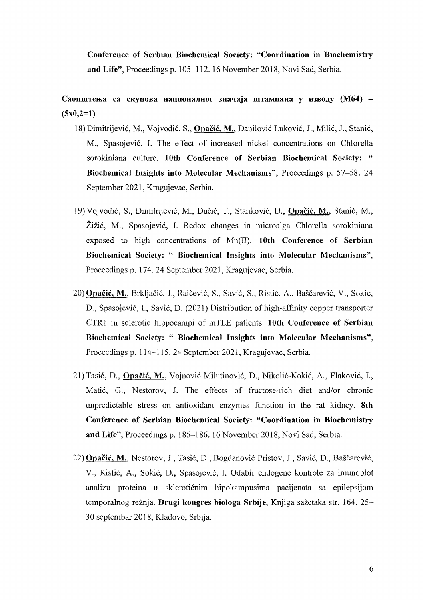Conference of Serbian Biochemical Society: "Coordination in Biochemistry and Life", Proceedings p. 105-112. 16 November 2018, Novi Sad, Serbia.

Саопштења са скупова националног значаја штампана у изводу (М64) - $(5x0,2=1)$ 

- 18) Dimitrijevic, M., Vojvodic, S., Opacic, M., Danilovic Lukovic, J., Milic, J., Stanic, M., Spasojević, I. The effect of increased nickel concentrations on Chlorella sorokiniana culture. 10th Conference of Serbian Biochemical Society: " Biochemical Insights into Molecular Mechanisms", Proceedings p. 57-58. 24 September 2021, Kragujevac, Serbia.
- 19) Vojvodic, S., Dimitrijevic, M., Ducic, T., Stankovic, D., Opacic, M., Stanic, M., Zizic, M., Spasojevic, I. Redox changes in microalga Chlorella sorokiniana exposed to high concentrations of Mn(II). 10th Conference of Serbian Biochemical Society: " Biochemical Insights into Molecular Mechanisms", Proceedings p. 174.24 September 2021, Kragujevac, Serbia.
- 20) Opacic, M., Brkljacic, 1., Raicevic, S., Savic, S., Ristic, A., Bascarevic, V., Sokic, D., Spasojević, I., Savić, D. (2021) Distribution of high-affinity copper transporter CTRI in sclerotic hippocampi of mTLE patients. 10th Conference of Serbian Biochemical Society: " Biochemical Insights into Molecular Mechanisms", Proceedings p. 114-115.24 September 2021, Kragujevac, Serbia.
- 21) Tasic, D., Opacic, M., Vojnovic Milutinovic, D., Nikolic-Kokic, A., Elakovic, I., Matic, G., Nestorov, 1. The effects of fructose-rich diet and/or chronic unpredictable stress on antioxidant enzymes function in the rat kidney. 8th Conference of Serbian Biochemical Society: "Coordination in Biochemistry and Life", Proceedings p. 185-186. 16 November 2018, Novi Sad, Serbia.
- 22) Opačić, M., Nestorov, J., Tasić, D., Bogdanović Pristov, J., Savić, D., Baščarević, V., Ristic, A., Sokic, D., Spasojevic, 1. Odabir endogene kontrole za imunoblot analizu proteina u skleroticnim hipokampusima pacijenata sa epilepsijom temporalnog režnja. Drugi kongres biologa Srbije, Knjiga sažetaka str. 164. 25-30 septembar 2018, Kladovo, Srbija.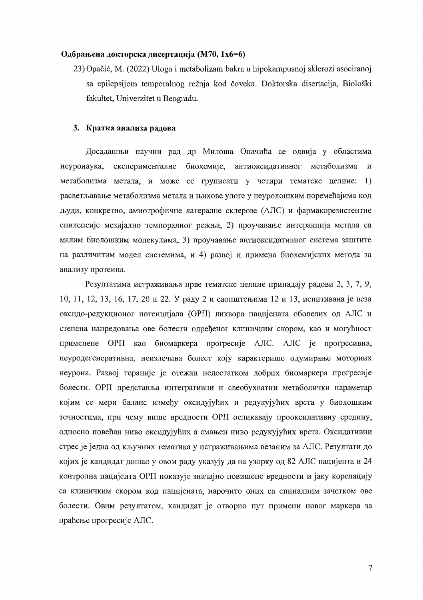#### Одбрањена докторска дисертација (М70, 1х6=6)

23) Opačić, M. (2022) Uloga i metabolizam bakra u hipokampusnoj sklerozi asociranoj sa epilepsijom temporalnog režnja kod čoveka. Doktorska disertacija, Biološki fakultet. Univerzitet u Beogradu.

## 3. Кратка анализа радова

Досадашњи научни рад др Милоша Опачића се одвија у областима неуронаука, експерименталне биохемије, антиоксидативног метаболизма  $\overline{\mathbf{M}}$ метаболизма метала, и може се груписати у четири тематске целине: 1) расветљавање метаболизма метала и њихове улоге у неуролошким поремећајима код људи, конкретно, амиотрофичне латералне склерозе (АЛС) и фармакорезистентне епилепсије мезијално темпоралног режња, 2) проучавање интеракција метала са малим биолошким молекулима, 3) проучавање антиоксидативног система заштите на различитим модел системима, и 4) развој и примена биохемијских метода за анализу протеина.

Резултатима истраживања прве тематске целине припадају радови 2, 3, 7, 9, 10, 11, 12, 13, 16, 17, 20 и 22. У раду 2 и саопштењима 12 и 13, испитивана је веза оксидо-редукционог потенцијала (ОРП) ликвора пацијената оболелих од АЛС и степена напредовања ове болести одређеног клиничким скором, као и могућност применене ОРП као биомаркера прогресије АЛС. АЛС је прогресивна, неуродегенеративна, неизлечива болест коју карактерише одумирање моторних неурона. Развој терапије је отежан недостатком добрих биомаркера прогресије болести. ОРП представља интегративни и свеобухватни метаболички параметар којим се мери баланс између оксидујућих и редукујућих врста у биолошким течностима, при чему више вредности ОРП осликавају прооксидативну средину, односно повећан ниво оксидујућих а смањен ниво редукујућих врста. Оксидативни стрес је једна од кључних тематика у истраживањима везаним за АЛС. Резултати до којих је кандидат дошао у овом раду указују да на узорку од 82 АЛС пацијента и 24 контролна пацијента ОРП показује значајно повишене вредности и јаку корелацију са клиничким скором код пацијената, нарочито оних са спиналним зачетком ове болести. Овим резултатом, кандидат је отворио пут примени новог маркера за праћење прогресије АЛС.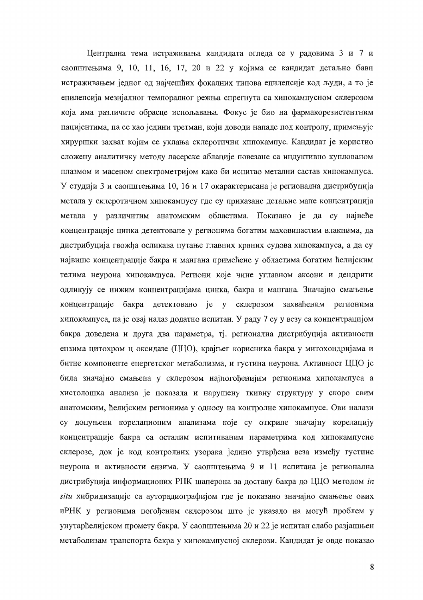Централна тема истраживања кандидата огледа се у радовима 3 и 7 и саопштењима 9, 10, 11, 16, 17, 20 и 22 у којима се кандидат детаљно бави истраживањем једног од најчешћих фокалних типова епилепсије код људи, а то је епилепсија мезијалног темпоралног режња спрегнута са хипокампусном склерозом која има различите обрасце испољавања. Фокус је био на фармакорезистентним пацијентима, па се као једини третман, који доводи нападе под контролу, примењује хируршки захват којим се уклања склеротични хипокампус. Кандидат је користио сложену аналитичку методу ласерске аблације повезане са индуктивно куплованом плазмом и масеном спектрометријом како би испитао метални састав хипокампуса. У студији 3 и саопштењима 10, 16 и 17 окарактерисана је регионална дистрибуција метала у склеротичном хипокампусу где су приказане детаљне мапе концентрација метала у различитим анатомским областима. Показано је да су највеће концентрације цинка детектоване у регионима богатим маховинастим влакнима, да дистрибуција гвожђа осликава путање главних крвних судова хипокампуса, а да су највише концентрације бакра и мангана примећене у областима богатим ћелијским телима неурона хипокампуса. Региони које чине углавном аксони и дендрити одликују се нижим концентрацијама цинка, бакра и мангана. Значајно смањење концентрације бакра детектовано је у склерозом захваћеним регионима хипокампуса, па је овај налаз додатно испитан. У раду 7 су у везу са концентрацијом бакра доведена и друга два параметра, тј. регионална дистрибуција активности ензима цитохром ц оксидазе (ЦЦО), крајњег корисника бакра у митохондријама и битне компоненте енергетског метаболизма, и густина неурона. Активност ЦЦО је била значајно смањена у склерозом најпогођенијим регионима хипокампуса а хистолошка анализа је показала и нарушену ткивну структуру у скоро свим анатомским, ћелијским регионима у односу на контролне хипокампусе. Ови налази су допуњени корелационим анализама које су откриле значајну корелацију концентрације бакра са осталим испитиваним параметрима код хипокампусне склерозе, док је код контролних узорака једино утврђена веза између густине неурона и активности ензима. У саопштењима 9 и 11 испитана је регионална дистрибуција информационих РНК шаперона за доставу бакра до ЦЦО методом ін situ хибридизације са ауторадиографијом где је показано значајно смањење ових иРНК у регионима погођеним склерозом што је указало на могућ проблем у унутарћелијском промету бакра. У саопштењима 20 и 22 је испитан слабо разјашњен метаболизам транспорта бакра у хипокампусној склерози. Кандидат је овде показао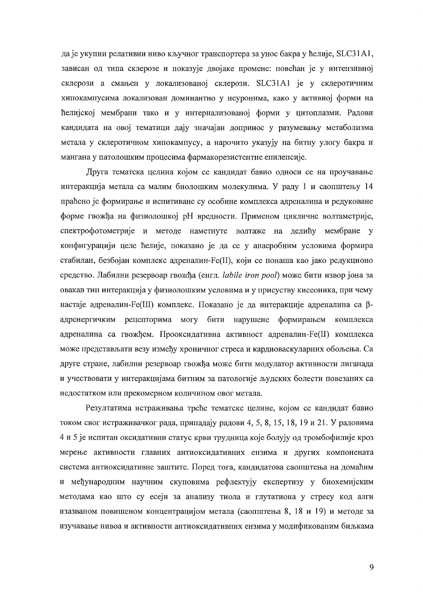да је укупни релативни ниво кључног транспортера за унос бакра у ћелије, SLC31A1, зависан од типа склерозе и показује двојаке промене: повећан је у интензивној склерози а смањен у локализованој склерози. SLC31A1 је у склеротичним хипокампусима локализован доминантно у неуронима, како у активној форми на ћелијској мембрани тако и у интернализованој форми у цитоплазми. Радови кандидата на овој тематици дају значајан допринос у разумевању метаболизма метала у склеротичном хипокампусу, а нарочито указују на битну улогу бакра и мангана у патолошким процесима фармакорезистентне епилепсије.

Друга тематска целина којом се кандидат бавио односи се на проучавање интеракција метала са малим биолошким молекулима. У раду 1 и саопштењу 14 праћено је формирање и испитиване су особине комплекса адреналина и редуковане форме гвожђа на физиолошкој рН вредности. Применом цикличне волтаметрије, спектрофотометрије и методе наметнуте волтаже на делићу мембране у конфигурацији целе ћелије, показано је да се у анаеробним условима формира стабилан, безбојан комплекс адреналин-Fe(II), који се понаша као јако редукционо средство. Лабилни резервоар гвожђа (енгл. labile iron pool) може бити извор јона за овакав тип интеракција у физиолошким условима и у присуству кисеоника, при чему настаје адреналин-Fe(III) комплекс. Показано је да интеракције адреналина са βадренергичким рецепторима могу бити нарушене формирањем комплекса адреналина са гвожђем. Прооксидативна активност адреналин-Fe(II) комплекса може представљати везу између хроничног стреса и кардиоваскуларних обољења. Са друге стране, лабилни резервоар гвожђа може бити модулатор активности лиганада и учествовати у интеракцијама битним за патологије људских болести повезаних са недостатком или прекомерном количином овог метала.

Резултатима истраживања треће тематске целине, којом се кандидат бавио током свог истраживачког рада, припадају радови 4, 5, 8, 15, 18, 19 и 21. У радовима 4 и 5 је испитан оксидативни статус крви трудница које болују од тромбофилије кроз мерење активности главних антиоксидативних ензима и других компонената система антиоксидативне заштите. Поред тога, кандидатова саопштења на домаћим и међународним научним скуповима рефлектују експертизу у биохемијским методама као што су есеји за анализу тиола и глутатиона у стресу код алги изазваном повишеном концентрацијом метала (саопштења 8, 18 и 19) и методе за изучавање нивоа и активности антиоксидативних ензима у модификованим биљкама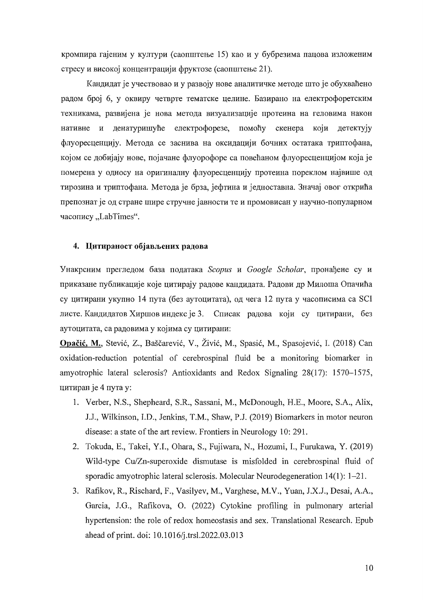кромпира гајеним у култури (саопштење 15) као и у бубрезима пацова изложеним стресу и високој концентрацији фруктозе (саопштење 21).

Кандидат је учествовао и у развоју нове аналитичке методе што је обухваћено радом број 6, у оквиру четврте тематске целине. Базирано на електрофоретским техникама, развијена је нова метода визуализације протеина на геловима након нативне и денатуришуће електрофорезе, помоћу скенера који детектују флуоресценцију. Метода се заснива на оксидацији бочних остатака триптофана, којом се добијају нове, појачане флуорофоре са повећаном флуоресценцијом која је померена у односу на оригиналну флуоресценцију протеина пореклом највише од тирозина и триптофана. Метода је брза, јефтина и једноставна. Значај овог открића препознат је од стране шире стручне јавности те и промовисан у научно-популарном часопису "LabTimes".

#### 4. Цитираност објављених радова

Унакрсним прегледом база података Scopus и Google Scholar, пронађене су и приказане публикације које цитирају радове кандидата. Радови др Милоша Опачића су цитирани укупно 14 пута (без аутоцитата), од чега 12 пута у часописима са SCI листе. Кандидатов Хиршов индекс је 3. Списак радова који су цитирани, без аутоцитата, са радовима у којима су цитирани:

Opačić, M., Stević, Z., Baščarević, V., Živić, M., Spasić, M., Spasojević, I. (2018) Can oxidation-reduction potential of cerebrospinal fluid be a monitoring biomarker in amyotrophic lateral sclerosis? Antioxidants and Redox Signaling 28(17): 1570–1575, цитиран је 4 пута у:

- 1. Verber, N.S., Shepheard, S.R., Sassani, M., McDonough, H.E., Moore, S.A., Alix, J.J., Wilkinson, I.D., Jenkins, T.M., Shaw, P.J. (2019) Biomarkers in motor neuron disease: a state of the art review. Frontiers in Neurology 10: 291.
- 2. Tokuda, E., Takei, Y.I., Ohara, S., Fujiwara, N., Hozumi, I., Furukawa, Y. (2019) Wild-type Cu/Zn-superoxide dismutase is misfolded in cerebrospinal fluid of sporadic amyotrophic lateral sclerosis. Molecular Neurodegeneration  $14(1)$ :  $1-21$ .
- 3. Rafikov, R., Rischard, F., Vasilyev, M., Varghese, M.V., Yuan, J.X.J., Desai, A.A., Garcia, J.G., Rafikova, O. (2022) Cytokine profiling in pulmonary arterial hypertension: the role of redox homeostasis and sex. Translational Research. Epub ahead of print. doi: 10.1016/j.trsl.2022.03.013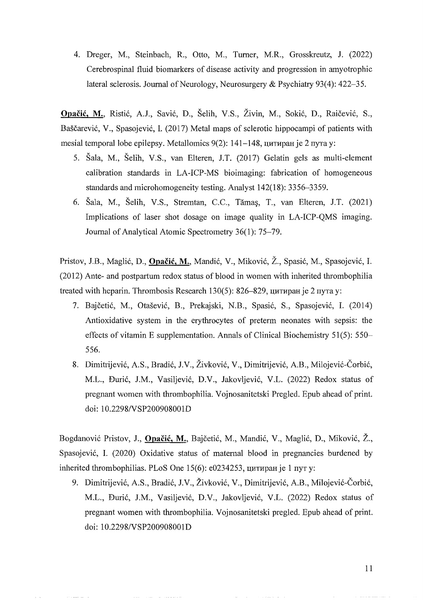4. Dreger, M., Steinbach, R., Otto, M., Turner, M.R., Grosskreutz, J. (2022) Cerebrospinal fluid biomarkers of disease activity and progression in amyotrophic lateral sclerosis. Journal of Neurology, Neurosurgery & Psychiatry 93(4):  $422-35$ .

**Opacic, M.,** Ristic, AJ., Savic, D., Selih, V.S., Zivin, M., Sokie, D., Raicevie, S., Baščarević, V., Spasojević, I. (2017) Metal maps of sclerotic hippocampi of patients with mesial temporal lobe epilepsy. Metallomics  $9(2)$ : 141-148, питиран је 2 пута у:

- 5. Sala, M., Selih, V.S., van Elteren, J.T. (2017) Gelatin gels as multi-element calibration standards in LA-ICP-MS bioimaging: fabrication of homogeneous standards and microhomogeneity testing. Analyst 142(18): 3356-3359.
- 6. Sala, M., Selih, V.S., Stremtan, *C.C.,* Tama~, T., van Elteren, J.T. (2021) Implications of laser shot dosage on image quality in LA-ICP-QMS imaging. Journal of Analytical Atomic Spectrometry 36(1): 75-79.

Pristov, J.B., Maglie, D., **Opacic,** M., Mandie, V., Mikovic, Z., Spasie, M., Spasojevie, I. (2012) Ante- and postpartum redox status of blood in women with inherited thrombophilia treated with heparin. Thrombosis Research 130(5): 826-829, цитиран је 2 пута у:

- 7. Bajcetie, M., Otasevie, B., Prekajski, N.B., Spasie, S., Spasojevie, I. (2014) Antioxidative system in the erythrocytes of preterm neonates with sepsis: the effects of vitamin E supplementation. Annals of Clinical Biochemistry 51(5): 550 556.
- 8. Dimitrijević, A.S., Bradić, J.V., Živković, V., Dimitrijević, A.B., Milojević-Čorbić, M.L., Đurić, J.M., Vasiljević, D.V., Jakovljević, V.L. (2022) Redox status of pregnant women with thrombophilia. Vojnosanitetski Pregled. Epub ahead of print. doi: 10.2298NSP200908001D

Bogdanović Pristov, J., **Opačić, M.**, Bajčetić, M., Mandić, V., Maglić, D., Miković, Ž., Spasojević, I. (2020) Oxidative status of maternal blood in pregnancies burdened by inherited thrombophilias. PLoS One  $15(6)$ : e0234253, цитиран је 1 пут у:

9. Dimitrijević, A.S., Bradić, J.V., Živković, V., Dimitrijević, A.B., Milojević-Čorbić, M.L., Duric, J.M., Vasiljevic, D.V., Jakovljevic, V.L. (2022) Redox status of pregnant women with thrombophilia. Vojnosanitetski pregled. Epub ahead of print. doi: *1O.2298/VSP200908001D* 

11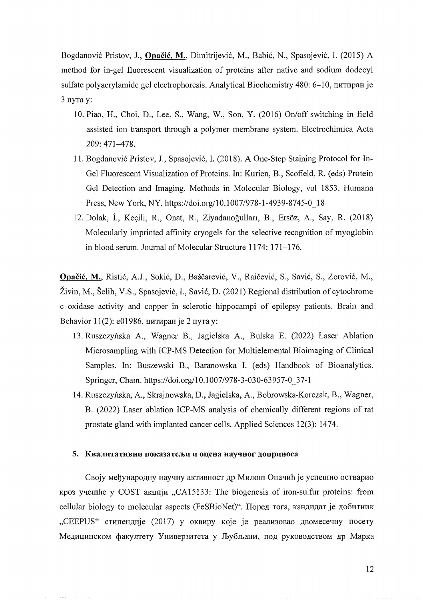Bogdanovic Pristov, 1., **Opacic,** M., Dimitrijevic, M., Babic, N., Spasojevic, 1. (2015) A method for in-gel fluorescent visualization of proteins after native and sodium dodecyl sulfate polyacrylamide gel electrophoresis. Analytical Biochemistry 480: 6-10, цитиран је 3 пута у:

- 10. Piao, H., Choi, D., Lee, S., Wang, W., Son, Y. (2016) On/off switching in field assisted ion transport through a polymer membrane system. Electrochimica Acta 209: 471-478.
- 11. Bogdanovic Pristov, 1., Spasojevic, 1. (2018). A One-Step Staining Protocol for In-Gel Fluorescent Visualization of Proteins. In: Kurien, B., Scofield, R. (eds) Protein Gel Detection and Imaging. Methods in Molecular Biology, vol 1853. Humana Press, New York, NY. https://doi.org/10.1007/978-1-4939-8745-0\_18
- 12. Dolak, i., Keyili, R., Onat, R., Ziyadanogullan, B., Ersoz, A., Say, R. (2018) Molecularly imprinted affinity cryogels for the selective recognition of myoglobin in blood serum. 10urnal of Molecular Structure 1174: 171-176.

**Opacic,** M., Ristic, A.l., Sokic, D., Bascarevic, V., Raicevic, S., Savic, S., Zorovic, M., Živin, M., Šelih, V.S., Spasojević, I., Savić, D. (2021) Regional distribution of cytochrome c oxidase activity and copper in sclerotic hippocampi of epilepsy patients. Brain and Behavior 11(2): e01986, цитиран је 2 пута у:

- 13. Ruszczynska A., Wagner B., lagielska A., Bulska E. (2022) Laser Ablation Microsampling with ICP-MS Detection for Multielemental Bioimaging of Clinical Samples. In: Buszewski B., Baranowska 1. (eds) Handbook of Bioanalytics. Springer, Cham. https://doi.org/10.1007/978-3-030-63957-0\_37-1
- 14. Ruszczynska, A., Skrajnowska, D., lagielska, A., Bobrowska-Korczak, B., Wagner, B. (2022) Laser ablation ICP-MS analysis of chemically different regions of rat prostate gland with implanted cancer cells. Applied Sciences 12(3): 1474.

#### 5. Квалитативни показатељи и оцена научног доприноса

Своју међународну научну активност др Милош Опачић је успешно остварио  $Kpos$  yyelline y COST  $\alpha Knu \mu \mu$ , CA15133: The biogenesis of iron-sulfur proteins: from cellular biology to molecular aspects (FeSBioNet)". Поред тога, кандидат је добитник "CEEPUS" стипендије (2017) у оквиру које је реализовао двомесечну посету Медицинском факултету Универзитета у Љубљани, под руководством др Марка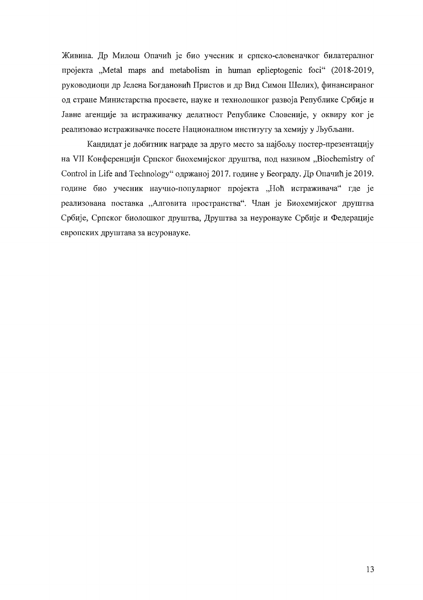Живина. Др Милош Опачић је био учесник и српско-словеначког билатералног пројекта "Metal maps and metabolism in human eplieptogenic foci" (2018-2019, руководиоци др Јелена Богдановић Пристов и др Вид Симон Шелих), финансираног од стране Министарства просвете, науке и технолошког развоја Републике Србије и Јавне агенције за истраживачку делатност Републике Словеније, у оквиру ког је реализовао истраживачке посете Националном институту за хемију у Љубљани.

Кандидат је добитник награде за друго место за најбољу постер-презентацију на VII Конференцији Српског биохемијског друштва, под називом "Biochemistry of Control in Life and Technology" одржаној 2017. године у Београду. Др Опачић је 2019. године био учесник научно-популарног пројекта "Ноћ истраживача" где је реализована поставка "Алговита пространства". Члан је Биохемијског друштва Србије, Српског биолошког друштва, Друштва за неуронауке Србије и Федерације европских друштава за неуронауке.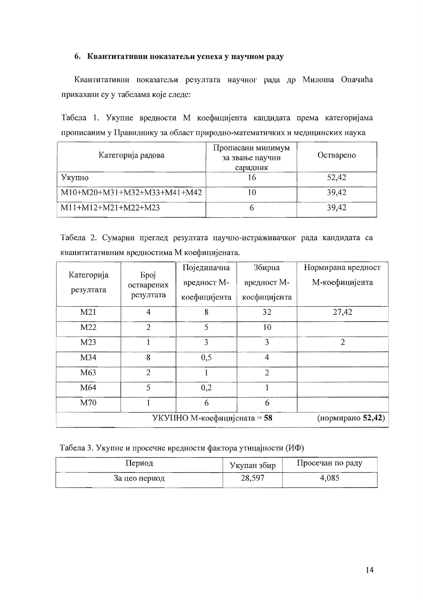## 6. Квантитативни показатељи успеха у научном раду

Квантитативни показатељи резултата научног рада др Милоша Опачића приказани су у табелама које следе:

Табела 1. Укупне вредности М коефицијента кандидата према категоријама прописаним у Правилнику за област природно-математичких и медицинских наука

| Категорија радова           | Прописани минимум<br>за звање научни<br>сарадник | Остварено |
|-----------------------------|--------------------------------------------------|-----------|
| Укупно                      |                                                  | 52,42     |
| M10+M20+M31+M32+M33+M41+M42 |                                                  | 39,42     |
| M11+M12+M21+M22+M23         |                                                  | 39,42     |

Табела 2. Сумарни преглед резултата научно-истраживачког рада кандидата са кванититативним вредностима М коефицијената.

| Категорија<br>резултата | <b>Spoj</b><br>остварених<br>резултата | Појединачна<br>вредност М-<br>коефицијента | Збирна<br>вредност М-<br>коефицијента | Нормирана вредност<br>М-коефицијента |
|-------------------------|----------------------------------------|--------------------------------------------|---------------------------------------|--------------------------------------|
| M <sub>21</sub>         | 4                                      | 8                                          | 32                                    | 27,42                                |
| M22                     | $\overline{2}$                         | 5                                          | 10                                    |                                      |
| M <sub>23</sub>         |                                        | 3                                          | 3                                     | $\overline{2}$                       |
| M34                     | 8                                      | 0,5                                        | $\overline{4}$                        |                                      |
| M63                     | $\overline{2}$                         |                                            | $\overline{2}$                        |                                      |
| M64                     | 5                                      | 0,2                                        |                                       |                                      |
| M70                     |                                        | 6                                          | 6                                     |                                      |
|                         |                                        | УКУПНО М-коефицијената = 58                |                                       | (нормирано 52,42)                    |

Табела 3. Укупне и просечне вредности фактора утицајности (ИФ)

| Период        | Укупан збир | Просечан по раду |
|---------------|-------------|------------------|
| За цео период | 28,597      | 4,085            |